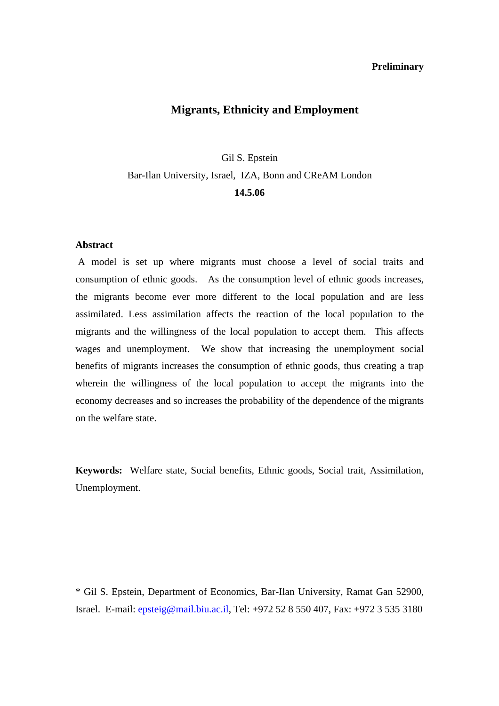### **Preliminary**

# **Migrants, Ethnicity and Employment**

Gil S. Epstein Bar-Ilan University, Israel, IZA, Bonn and CReAM London **14.5.06** 

# **Abstract**

 A model is set up where migrants must choose a level of social traits and consumption of ethnic goods. As the consumption level of ethnic goods increases, the migrants become ever more different to the local population and are less assimilated. Less assimilation affects the reaction of the local population to the migrants and the willingness of the local population to accept them. This affects wages and unemployment. We show that increasing the unemployment social benefits of migrants increases the consumption of ethnic goods, thus creating a trap wherein the willingness of the local population to accept the migrants into the economy decreases and so increases the probability of the dependence of the migrants on the welfare state.

**Keywords:** Welfare state, Social benefits, Ethnic goods, Social trait, Assimilation, Unemployment.

\* Gil S. Epstein, Department of Economics, Bar-Ilan University, Ramat Gan 52900, Israel. E-mail: epsteig@mail.biu.ac.il, Tel: +972 52 8 550 407, Fax: +972 3 535 3180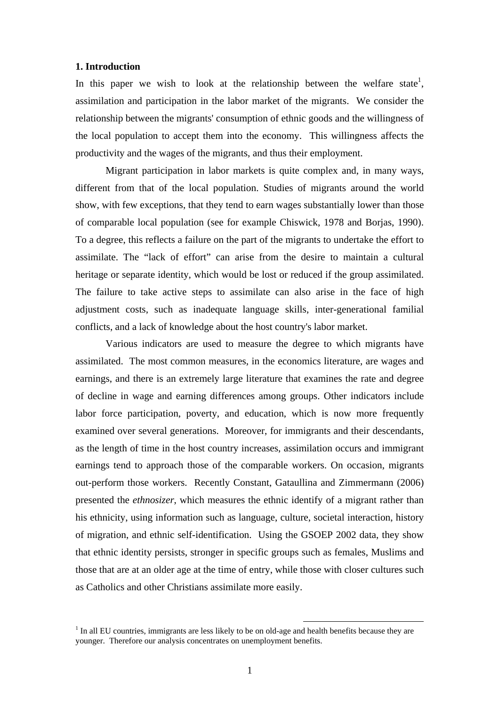#### **1. Introduction**

In this paper we wish to look at the relationship between the welfare state<sup>1</sup>, assimilation and participation in the labor market of the migrants. We consider the relationship between the migrants' consumption of ethnic goods and the willingness of the local population to accept them into the economy. This willingness affects the productivity and the wages of the migrants, and thus their employment.

Migrant participation in labor markets is quite complex and, in many ways, different from that of the local population. Studies of migrants around the world show, with few exceptions, that they tend to earn wages substantially lower than those of comparable local population (see for example Chiswick, 1978 and Borjas, 1990). To a degree, this reflects a failure on the part of the migrants to undertake the effort to assimilate. The "lack of effort" can arise from the desire to maintain a cultural heritage or separate identity, which would be lost or reduced if the group assimilated. The failure to take active steps to assimilate can also arise in the face of high adjustment costs, such as inadequate language skills, inter-generational familial conflicts, and a lack of knowledge about the host country's labor market.

Various indicators are used to measure the degree to which migrants have assimilated. The most common measures, in the economics literature, are wages and earnings, and there is an extremely large literature that examines the rate and degree of decline in wage and earning differences among groups. Other indicators include labor force participation, poverty, and education, which is now more frequently examined over several generations. Moreover, for immigrants and their descendants, as the length of time in the host country increases, assimilation occurs and immigrant earnings tend to approach those of the comparable workers. On occasion, migrants out-perform those workers. Recently Constant, Gataullina and Zimmermann (2006) presented the *ethnosizer*, which measures the ethnic identify of a migrant rather than his ethnicity, using information such as language, culture, societal interaction, history of migration, and ethnic self-identification. Using the GSOEP 2002 data, they show that ethnic identity persists, stronger in specific groups such as females, Muslims and those that are at an older age at the time of entry, while those with closer cultures such as Catholics and other Christians assimilate more easily.

<sup>&</sup>lt;sup>1</sup> In all EU countries, immigrants are less likely to be on old-age and health benefits because they are younger. Therefore our analysis concentrates on unemployment benefits.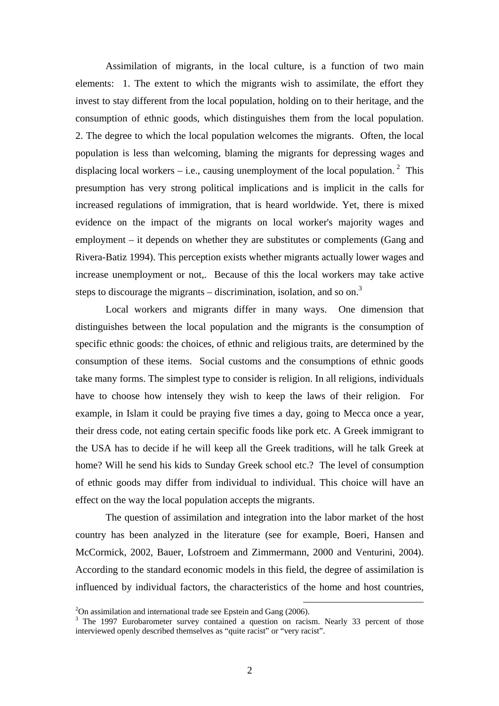Assimilation of migrants, in the local culture, is a function of two main elements: 1. The extent to which the migrants wish to assimilate, the effort they invest to stay different from the local population, holding on to their heritage, and the consumption of ethnic goods, which distinguishes them from the local population. 2. The degree to which the local population welcomes the migrants. Often, the local population is less than welcoming, blaming the migrants for depressing wages and displacing local workers – i.e., causing unemployment of the local population.<sup>2</sup> This presumption has very strong political implications and is implicit in the calls for increased regulations of immigration, that is heard worldwide. Yet, there is mixed evidence on the impact of the migrants on local worker's majority wages and employment – it depends on whether they are substitutes or complements (Gang and Rivera-Batiz 1994). This perception exists whether migrants actually lower wages and increase unemployment or not,. Because of this the local workers may take active steps to discourage the migrants – discrimination, isolation, and so on.<sup>3</sup>

 Local workers and migrants differ in many ways. One dimension that distinguishes between the local population and the migrants is the consumption of specific ethnic goods: the choices, of ethnic and religious traits, are determined by the consumption of these items. Social customs and the consumptions of ethnic goods take many forms. The simplest type to consider is religion. In all religions, individuals have to choose how intensely they wish to keep the laws of their religion. For example, in Islam it could be praying five times a day, going to Mecca once a year, their dress code, not eating certain specific foods like pork etc. A Greek immigrant to the USA has to decide if he will keep all the Greek traditions, will he talk Greek at home? Will he send his kids to Sunday Greek school etc.? The level of consumption of ethnic goods may differ from individual to individual. This choice will have an effect on the way the local population accepts the migrants.

The question of assimilation and integration into the labor market of the host country has been analyzed in the literature (see for example, Boeri, Hansen and McCormick, 2002, Bauer, Lofstroem and Zimmermann, 2000 and Venturini, 2004). According to the standard economic models in this field, the degree of assimilation is influenced by individual factors, the characteristics of the home and host countries,

 $2^2$ On assimilation and international trade see Epstein and Gang (2006).

<sup>&</sup>lt;sup>3</sup> The 1997 Eurobarometer survey contained a question on racism. Nearly 33 percent of those interviewed openly described themselves as "quite racist" or "very racist".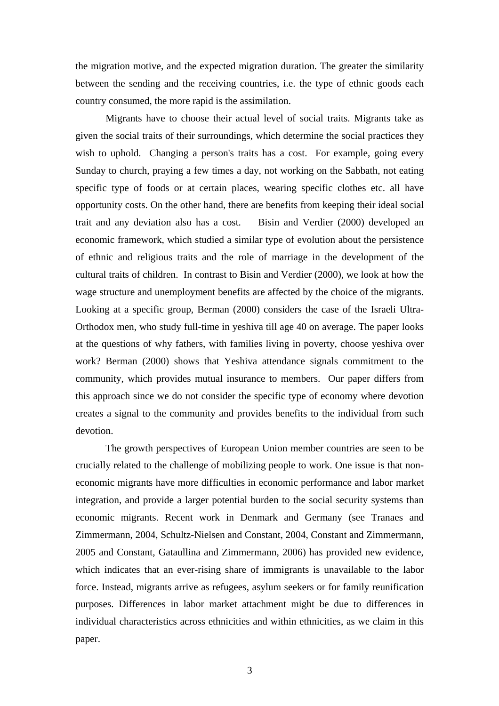the migration motive, and the expected migration duration. The greater the similarity between the sending and the receiving countries, i.e. the type of ethnic goods each country consumed, the more rapid is the assimilation.

Migrants have to choose their actual level of social traits. Migrants take as given the social traits of their surroundings, which determine the social practices they wish to uphold. Changing a person's traits has a cost. For example, going every Sunday to church, praying a few times a day, not working on the Sabbath, not eating specific type of foods or at certain places, wearing specific clothes etc. all have opportunity costs. On the other hand, there are benefits from keeping their ideal social trait and any deviation also has a cost. Bisin and Verdier (2000) developed an economic framework, which studied a similar type of evolution about the persistence of ethnic and religious traits and the role of marriage in the development of the cultural traits of children. In contrast to Bisin and Verdier (2000), we look at how the wage structure and unemployment benefits are affected by the choice of the migrants. Looking at a specific group, Berman (2000) considers the case of the Israeli Ultra-Orthodox men, who study full-time in yeshiva till age 40 on average. The paper looks at the questions of why fathers, with families living in poverty, choose yeshiva over work? Berman (2000) shows that Yeshiva attendance signals commitment to the community, which provides mutual insurance to members. Our paper differs from this approach since we do not consider the specific type of economy where devotion creates a signal to the community and provides benefits to the individual from such devotion.

The growth perspectives of European Union member countries are seen to be crucially related to the challenge of mobilizing people to work. One issue is that noneconomic migrants have more difficulties in economic performance and labor market integration, and provide a larger potential burden to the social security systems than economic migrants. Recent work in Denmark and Germany (see Tranaes and Zimmermann, 2004, Schultz-Nielsen and Constant, 2004, Constant and Zimmermann, 2005 and Constant, Gataullina and Zimmermann, 2006) has provided new evidence, which indicates that an ever-rising share of immigrants is unavailable to the labor force. Instead, migrants arrive as refugees, asylum seekers or for family reunification purposes. Differences in labor market attachment might be due to differences in individual characteristics across ethnicities and within ethnicities, as we claim in this paper.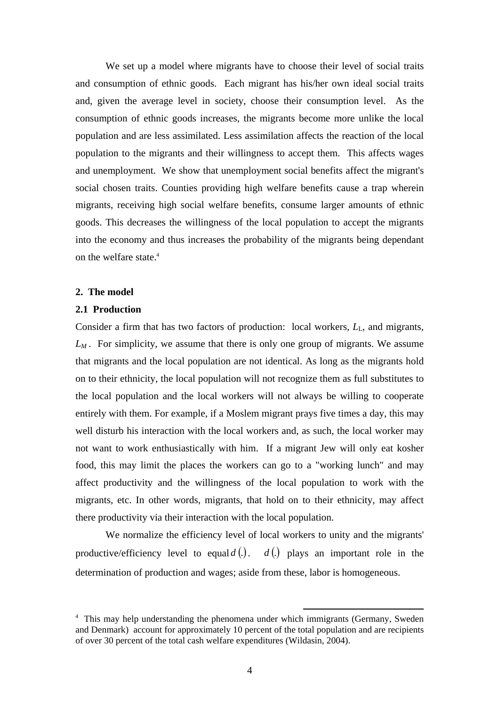We set up a model where migrants have to choose their level of social traits and consumption of ethnic goods. Each migrant has his/her own ideal social traits and, given the average level in society, choose their consumption level. As the consumption of ethnic goods increases, the migrants become more unlike the local population and are less assimilated. Less assimilation affects the reaction of the local population to the migrants and their willingness to accept them. This affects wages and unemployment. We show that unemployment social benefits affect the migrant's social chosen traits. Counties providing high welfare benefits cause a trap wherein migrants, receiving high social welfare benefits, consume larger amounts of ethnic goods. This decreases the willingness of the local population to accept the migrants into the economy and thus increases the probability of the migrants being dependant on the welfare state.<sup>4</sup>

### **2. The model**

# **2.1 Production**

Consider a firm that has two factors of production: local workers,  $L<sub>L</sub>$ , and migrants, *LM .* For simplicity, we assume that there is only one group of migrants. We assume that migrants and the local population are not identical. As long as the migrants hold on to their ethnicity, the local population will not recognize them as full substitutes to the local population and the local workers will not always be willing to cooperate entirely with them. For example, if a Moslem migrant prays five times a day, this may well disturb his interaction with the local workers and, as such, the local worker may not want to work enthusiastically with him. If a migrant Jew will only eat kosher food, this may limit the places the workers can go to a "working lunch" and may affect productivity and the willingness of the local population to work with the migrants, etc. In other words, migrants, that hold on to their ethnicity, may affect there productivity via their interaction with the local population.

We normalize the efficiency level of local workers to unity and the migrants' productive/efficiency level to equal  $d(.)$ .  $d(.)$  plays an important role in the determination of production and wages; aside from these, labor is homogeneous.

<sup>&</sup>lt;sup>4</sup> This may help understanding the phenomena under which immigrants (Germany, Sweden) and Denmark) account for approximately 10 percent of the total population and are recipients of over 30 percent of the total cash welfare expenditures (Wildasin, 2004).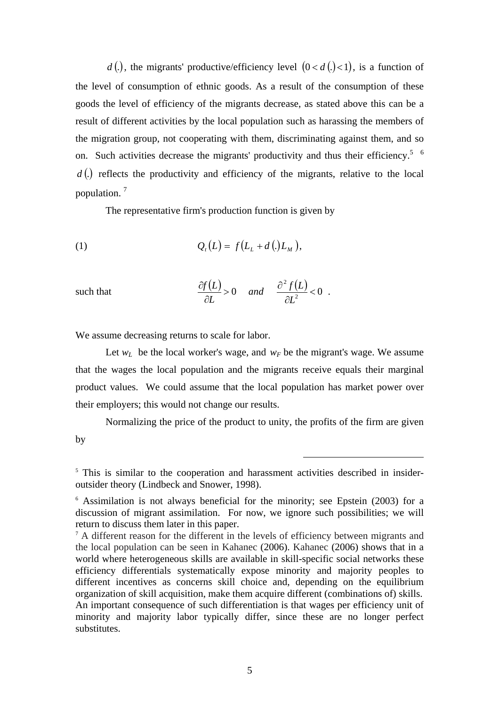*d* (*)*, the migrants' productive/efficiency level  $(0 < d) < 1$ , is a function of the level of consumption of ethnic goods. As a result of the consumption of these goods the level of efficiency of the migrants decrease, as stated above this can be a result of different activities by the local population such as harassing the members of the migration group, not cooperating with them, discriminating against them, and so on. Such activities decrease the migrants' productivity and thus their efficiency.<sup>5</sup>  $\frac{6}{5}$  $d(.)$  reflects the productivity and efficiency of the migrants, relative to the local population. 7

The representative firm's production function is given by

(1) 
$$
Q_t(L) = f(L_t + d_t(L_t)),
$$

such that 
$$
\frac{\partial f(L)}{\partial L} > 0
$$
 and  $\frac{\partial^2 f(L)}{\partial L^2} < 0$ .

We assume decreasing returns to scale for labor.

Let  $w_L$  be the local worker's wage, and  $w_F$  be the migrant's wage. We assume that the wages the local population and the migrants receive equals their marginal product values. We could assume that the local population has market power over their employers; this would not change our results.

Normalizing the price of the product to unity, the profits of the firm are given by

 $\overline{a}$ 

<sup>&</sup>lt;sup>5</sup> This is similar to the cooperation and harassment activities described in insideroutsider theory (Lindbeck and Snower, 1998).

<sup>&</sup>lt;sup>6</sup> Assimilation is not always beneficial for the minority; see Epstein (2003) for a discussion of migrant assimilation. For now, we ignore such possibilities; we will return to discuss them later in this paper.

<sup>&</sup>lt;sup>7</sup> A different reason for the different in the levels of efficiency between migrants and the local population can be seen in Kahanec (2006). Kahanec (2006) shows that in a world where heterogeneous skills are available in skill-specific social networks these efficiency differentials systematically expose minority and majority peoples to different incentives as concerns skill choice and, depending on the equilibrium organization of skill acquisition, make them acquire different (combinations of) skills. An important consequence of such differentiation is that wages per efficiency unit of minority and majority labor typically differ, since these are no longer perfect substitutes.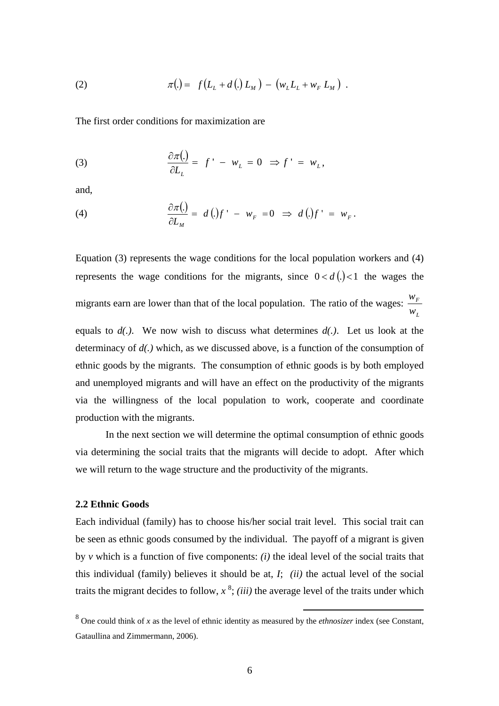(2) 
$$
\pi(.) = f(L_L + d(.) L_M) - (w_L L_L + w_F L_M).
$$

The first order conditions for maximization are

(3) 
$$
\frac{\partial \pi(.)}{\partial L_L} = f' - w_L = 0 \Rightarrow f' = w_L,
$$

and,

(4) 
$$
\frac{\partial \pi(.)}{\partial L_M} = d(.)f' - w_F = 0 \Rightarrow d(.)f' = w_F.
$$

Equation (3) represents the wage conditions for the local population workers and (4) represents the wage conditions for the migrants, since  $0 < d$  (.) < 1 the wages the migrants earn are lower than that of the local population. The ratio of the wages: *L F w w* equals to *d(.)*. We now wish to discuss what determines *d(.)*. Let us look at the determinacy of *d(.)* which, as we discussed above, is a function of the consumption of ethnic goods by the migrants. The consumption of ethnic goods is by both employed and unemployed migrants and will have an effect on the productivity of the migrants via the willingness of the local population to work, cooperate and coordinate production with the migrants.

In the next section we will determine the optimal consumption of ethnic goods via determining the social traits that the migrants will decide to adopt. After which we will return to the wage structure and the productivity of the migrants.

## **2.2 Ethnic Goods**

Each individual (family) has to choose his/her social trait level. This social trait can be seen as ethnic goods consumed by the individual. The payoff of a migrant is given by *v* which is a function of five components: *(i)* the ideal level of the social traits that this individual (family) believes it should be at, *I*; *(ii)* the actual level of the social traits the migrant decides to follow,  $x^8$ ; *(iii)* the average level of the traits under which

 <sup>8</sup> One could think of *x* as the level of ethnic identity as measured by the *ethnosizer* index (see Constant, Gataullina and Zimmermann, 2006).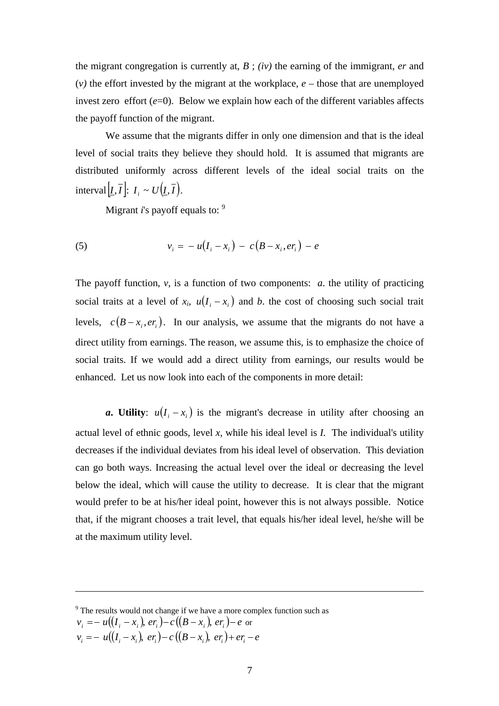the migrant congregation is currently at, *B* ; *(iv)* the earning of the immigrant, *er* and (*v)* the effort invested by the migrant at the workplace, *e –* those that are unemployed invest zero effort  $(e=0)$ . Below we explain how each of the different variables affects the payoff function of the migrant.

 We assume that the migrants differ in only one dimension and that is the ideal level of social traits they believe they should hold. It is assumed that migrants are distributed uniformly across different levels of the ideal social traits on the  $\text{interval}[\underline{I}, \overline{I}] : I_i \sim U(\underline{I}, \overline{I}).$ 

Migrant *i*'s payoff equals to: <sup>9</sup>

(5) 
$$
v_i = -u(I_i - x_i) - c(B - x_i, er_i) - e
$$

The payoff function,  $v$ , is a function of two components:  $a$ , the utility of practicing social traits at a level of  $x_i$ ,  $u(I_i - x_i)$  and *b*. the cost of choosing such social trait levels,  $c (B - x_i, er_i)$ . In our analysis, we assume that the migrants do not have a direct utility from earnings. The reason, we assume this, is to emphasize the choice of social traits. If we would add a direct utility from earnings, our results would be enhanced. Let us now look into each of the components in more detail:

*a***.** Utility:  $u(I_i - x_i)$  is the migrant's decrease in utility after choosing an actual level of ethnic goods, level *x,* while his ideal level is *I.* The individual's utility decreases if the individual deviates from his ideal level of observation. This deviation can go both ways. Increasing the actual level over the ideal or decreasing the level below the ideal, which will cause the utility to decrease. It is clear that the migrant would prefer to be at his/her ideal point, however this is not always possible. Notice that, if the migrant chooses a trait level, that equals his/her ideal level, he/she will be at the maximum utility level.

$$
v_i = -u((I_i - x_i), er_i) - c((B - x_i), er_i) + er_i - e
$$

 $\overline{a}$ 

<sup>&</sup>lt;sup>9</sup> The results would not change if we have a more complex function such as *v*<sub>*i*</sub> = − *u*( $(I_i - x_i)$ , *er<sub>i</sub>*) − *c*( $(B - x_i)$ , *er<sub>i</sub>*) − *e* or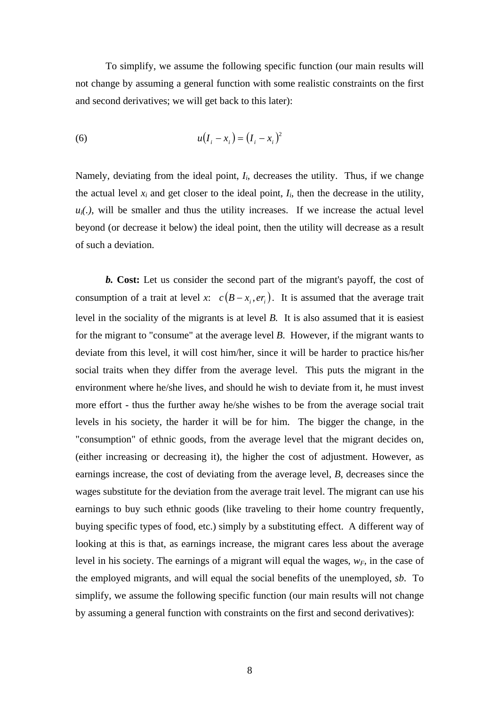To simplify, we assume the following specific function (our main results will not change by assuming a general function with some realistic constraints on the first and second derivatives; we will get back to this later):

(6) 
$$
u(I_i - x_i) = (I_i - x_i)^2
$$

Namely, deviating from the ideal point,  $I_i$ , decreases the utility. Thus, if we change the actual level  $x_i$  and get closer to the ideal point,  $I_i$ , then the decrease in the utility,  $u_i(.)$ , will be smaller and thus the utility increases. If we increase the actual level beyond (or decrease it below) the ideal point, then the utility will decrease as a result of such a deviation.

*b.* **Cost:** Let us consider the second part of the migrant's payoff, the cost of consumption of a trait at level *x*:  $c (B - x_i, er_i)$ . It is assumed that the average trait level in the sociality of the migrants is at level *B.* It is also assumed that it is easiest for the migrant to "consume" at the average level *B*. However, if the migrant wants to deviate from this level, it will cost him/her, since it will be harder to practice his/her social traits when they differ from the average level. This puts the migrant in the environment where he/she lives, and should he wish to deviate from it, he must invest more effort - thus the further away he/she wishes to be from the average social trait levels in his society, the harder it will be for him. The bigger the change, in the "consumption" of ethnic goods, from the average level that the migrant decides on, (either increasing or decreasing it), the higher the cost of adjustment. However, as earnings increase, the cost of deviating from the average level, *B*, decreases since the wages substitute for the deviation from the average trait level. The migrant can use his earnings to buy such ethnic goods (like traveling to their home country frequently, buying specific types of food, etc.) simply by a substituting effect. A different way of looking at this is that, as earnings increase, the migrant cares less about the average level in his society. The earnings of a migrant will equal the wages,  $w_F$ , in the case of the employed migrants, and will equal the social benefits of the unemployed, *sb*. To simplify, we assume the following specific function (our main results will not change by assuming a general function with constraints on the first and second derivatives):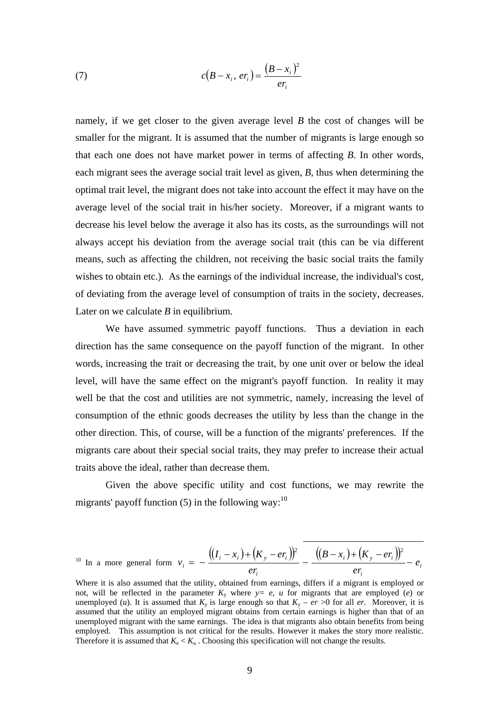(7) 
$$
c(B - x_i, er_i) = \frac{(B - x_i)^2}{er_i}
$$

namely, if we get closer to the given average level *B* the cost of changes will be smaller for the migrant. It is assumed that the number of migrants is large enough so that each one does not have market power in terms of affecting *B*. In other words, each migrant sees the average social trait level as given, *B*, thus when determining the optimal trait level, the migrant does not take into account the effect it may have on the average level of the social trait in his/her society. Moreover, if a migrant wants to decrease his level below the average it also has its costs, as the surroundings will not always accept his deviation from the average social trait (this can be via different means, such as affecting the children, not receiving the basic social traits the family wishes to obtain etc.). As the earnings of the individual increase, the individual's cost, of deviating from the average level of consumption of traits in the society, decreases. Later on we calculate *B* in equilibrium.

We have assumed symmetric payoff functions. Thus a deviation in each direction has the same consequence on the payoff function of the migrant. In other words, increasing the trait or decreasing the trait, by one unit over or below the ideal level, will have the same effect on the migrant's payoff function. In reality it may well be that the cost and utilities are not symmetric, namely, increasing the level of consumption of the ethnic goods decreases the utility by less than the change in the other direction. This, of course, will be a function of the migrants' preferences. If the migrants care about their special social traits, they may prefer to increase their actual traits above the ideal, rather than decrease them.

Given the above specific utility and cost functions, we may rewrite the migrants' payoff function  $(5)$  in the following way:<sup>10</sup>

$$
^{10} \text{ In a more general form } v_i = -\frac{((I_i - x_i) + (K_y - er_i))^2}{er_i} - \frac{((B - x_i) + (K_y - er_i))^2}{er_i} - e_i
$$

Where it is also assumed that the utility, obtained from earnings, differs if a migrant is employed or not, will be reflected in the parameter  $K_v$  where  $v = e$ , u for migrants that are employed (*e*) or unemployed (*u*). It is assumed that  $K_v$  is large enough so that  $K_v - er >0$  for all *er*. Moreover, it is assumed that the utility an employed migrant obtains from certain earnings is higher than that of an unemployed migrant with the same earnings. The idea is that migrants also obtain benefits from being employed. This assumption is not critical for the results. However it makes the story more realistic. Therefore it is assumed that  $K_e < K_u$ . Choosing this specification will not change the results.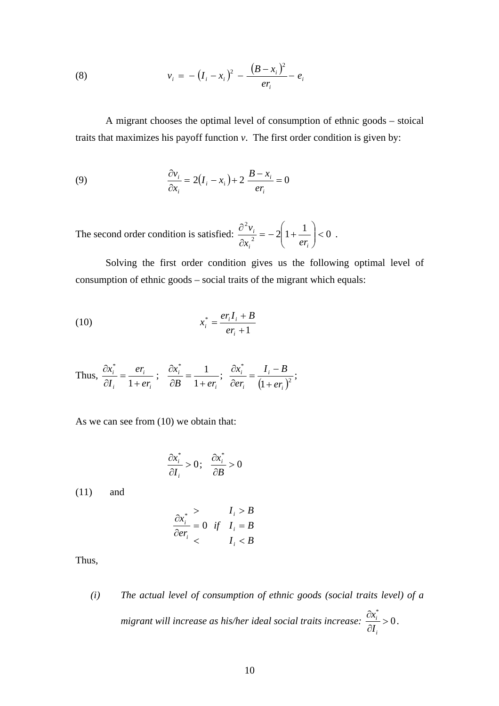(8) 
$$
v_i = - (I_i - x_i)^2 - \frac{(B - x_i)^2}{er_i} - e_i
$$

A migrant chooses the optimal level of consumption of ethnic goods – stoical traits that maximizes his payoff function *v*. The first order condition is given by:

(9) 
$$
\frac{\partial v_i}{\partial x_i} = 2(I_i - x_i) + 2 \frac{B - x_i}{er_i} = 0
$$

The second order condition is satisfied:  $\frac{\partial^2 v_i}{\partial x^2} = -2\left(1 + \frac{1}{\alpha x}\right) < 0$  $\vert$  < ⎠ ⎞  $\parallel$ ⎝  $=-2\left(1+\right.$ ∂ ∂ *i*  $\left\{ \begin{array}{c} \epsilon_I \\ i \end{array} \right.$ *i*  $x_i^2$   $\left[\begin{array}{ccc} 1 & e \\ e & e \end{array}\right]$  $v_i = -2\left(1 + \frac{1}{\sqrt{2}}\right) < 0$ .

Solving the first order condition gives us the following optimal level of consumption of ethnic goods – social traits of the migrant which equals:

(10) 
$$
x_i^* = \frac{er_i I_i + B}{er_i + 1}
$$

Thus, 
$$
\frac{\partial x_i^*}{\partial I_i} = \frac{er_i}{1+er_i}
$$
;  $\frac{\partial x_i^*}{\partial B} = \frac{1}{1+er_i}$ ;  $\frac{\partial x_i^*}{\partial er_i} = \frac{I_i - B}{(1+er_i)^2}$ ;

As we can see from (10) we obtain that:

$$
\frac{\partial x_i^*}{\partial I_i} > 0; \quad \frac{\partial x_i^*}{\partial B} > 0
$$

(11) and

$$
\frac{\partial x_i^*}{\partial er_i} = 0 \quad \text{if} \quad \frac{I_i > B}{I_i} = B
$$
\n
$$
\frac{\partial x_i^*}{\partial er_i} < \qquad \frac{I_i < B}{I_i} < B
$$

Thus,

*(i) The actual level of consumption of ethnic goods (social traits level) of a migrant will increase as his/her ideal social traits increase:*  $\frac{\Delta x_i}{\Delta z} > 0$ \* > ∂ ∂ *i i I*  $\frac{x_i^*}{x_i} > 0$ .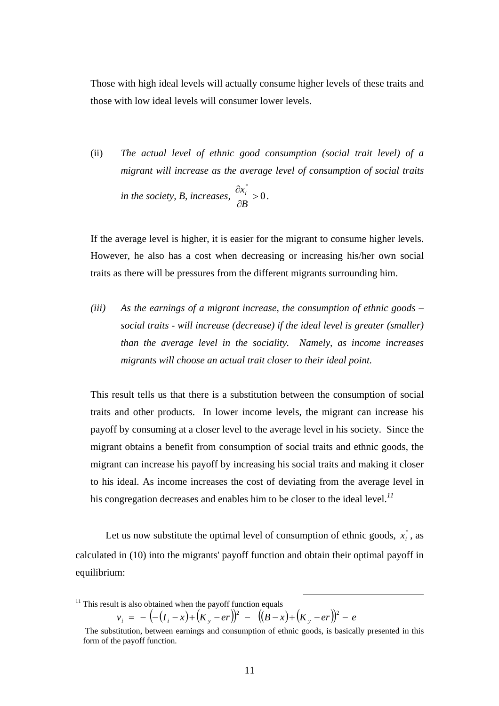Those with high ideal levels will actually consume higher levels of these traits and those with low ideal levels will consumer lower levels.

(ii) *The actual level of ethnic good consumption (social trait level) of a migrant will increase as the average level of consumption of social traits in the society, B, increases,*  $\frac{\partial x_i}{\partial x} > 0$ \* > ∂ ∂ *B*  $\frac{x_i^*}{x_i} > 0$ .

If the average level is higher, it is easier for the migrant to consume higher levels. However, he also has a cost when decreasing or increasing his/her own social traits as there will be pressures from the different migrants surrounding him.

*(iii) As the earnings of a migrant increase, the consumption of ethnic goods – social traits - will increase (decrease) if the ideal level is greater (smaller) than the average level in the sociality. Namely, as income increases migrants will choose an actual trait closer to their ideal point.* 

This result tells us that there is a substitution between the consumption of social traits and other products. In lower income levels, the migrant can increase his payoff by consuming at a closer level to the average level in his society. Since the migrant obtains a benefit from consumption of social traits and ethnic goods, the migrant can increase his payoff by increasing his social traits and making it closer to his ideal. As income increases the cost of deviating from the average level in his congregation decreases and enables him to be closer to the ideal level.*<sup>11</sup>*

Let us now substitute the optimal level of consumption of ethnic goods,  $x_i^*$ , as calculated in (10) into the migrants' payoff function and obtain their optimal payoff in equilibrium:

 $v_i = -(- (I_i - x) + (K_y - er))^2 - ((B - x) + (K_y - er))^2 - e$ 

 $11$ <sup>11</sup> This result is also obtained when the payoff function equals

The substitution, between earnings and consumption of ethnic goods, is basically presented in this form of the payoff function.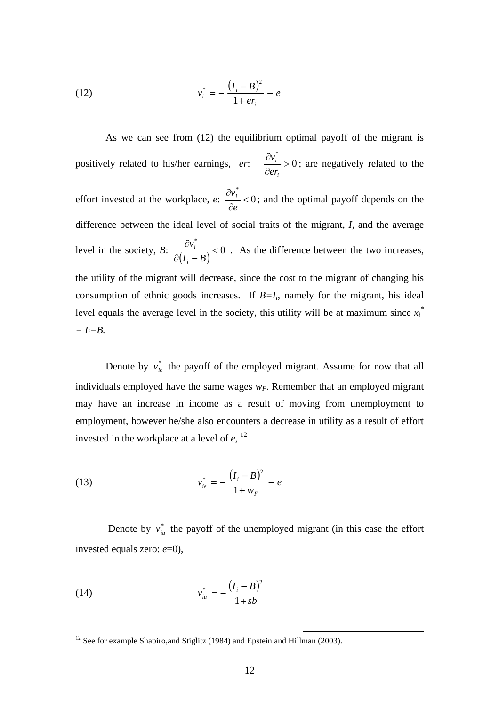(12) 
$$
v_i^* = -\frac{(I_i - B)^2}{1 + er_i} - e
$$

 As we can see from (12) the equilibrium optimal payoff of the migrant is positively related to his/her earnings,  $er: \frac{\partial v_i}{\partial r} > 0$ \* > ∂ ∂ *i i er*  $v_i^* > 0$ ; are negatively related to the effort invested at the workplace,  $e: \frac{\partial v_i}{\partial r} < 0$ \*  $\lt$ ∂ ∂ *e*  $v_i^*$  < 0; and the optimal payoff depends on the difference between the ideal level of social traits of the migrant, *I*, and the average level in the society, *B*:  $\frac{\partial V_i}{\partial (I_i - B)} < 0$ \*  $\lt$  $\partial (I_i -$ ∂  $I_i - B$ *v i*  $\frac{i}{n}$  < 0 . As the difference between the two increases, the utility of the migrant will decrease, since the cost to the migrant of changing his consumption of ethnic goods increases. If  $B=I_i$ , namely for the migrant, his ideal level equals the average level in the society, this utility will be at maximum since  $x_i^*$  $= I_i = B$ .

Denote by  $v_{ie}^*$  the payoff of the employed migrant. Assume for now that all individuals employed have the same wages  $w_F$ . Remember that an employed migrant may have an increase in income as a result of moving from unemployment to employment, however he/she also encounters a decrease in utility as a result of effort invested in the workplace at a level of  $e$ ,  $^{12}$ 

(13) 
$$
v_{ie}^{*} = -\frac{(I_i - B)^2}{1 + w_F} - e
$$

Denote by  $v_{i\mu}^*$  the payoff of the unemployed migrant (in this case the effort invested equals zero: *e*=0),

(14) 
$$
v_{iu}^* = -\frac{(I_i - B)^2}{1 + sb}
$$

<sup>&</sup>lt;sup>12</sup> See for example Shapiro, and Stiglitz (1984) and Epstein and Hillman (2003).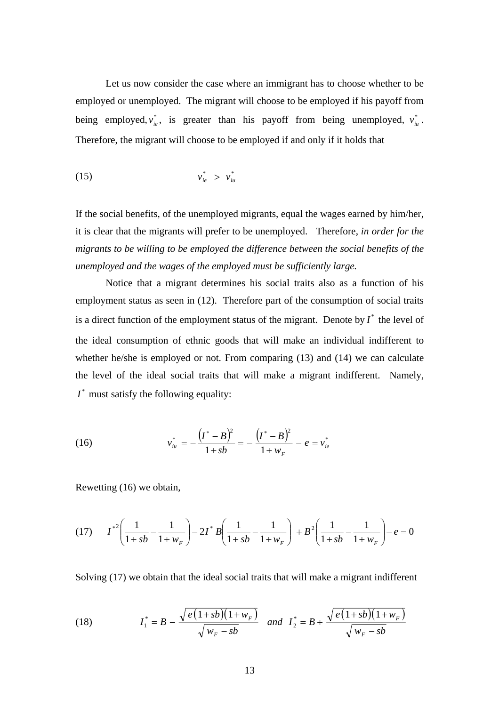Let us now consider the case where an immigrant has to choose whether to be employed or unemployed. The migrant will choose to be employed if his payoff from being employed,  $v_{ie}^*$ , is greater than his payoff from being unemployed,  $v_{iu}^*$ . Therefore, the migrant will choose to be employed if and only if it holds that

$$
v_{ie}^* > v_{iu}^*
$$

If the social benefits, of the unemployed migrants, equal the wages earned by him/her, it is clear that the migrants will prefer to be unemployed. Therefore, *in order for the migrants to be willing to be employed the difference between the social benefits of the unemployed and the wages of the employed must be sufficiently large.* 

 Notice that a migrant determines his social traits also as a function of his employment status as seen in (12). Therefore part of the consumption of social traits is a direct function of the employment status of the migrant. Denote by  $I^*$  the level of the ideal consumption of ethnic goods that will make an individual indifferent to whether he/she is employed or not. From comparing (13) and (14) we can calculate the level of the ideal social traits that will make a migrant indifferent. Namely,  $I^*$  must satisfy the following equality:

(16) 
$$
v_{iu}^* = -\frac{(I^*-B)^2}{1+sb} = -\frac{(I^*-B)^2}{1+w_F} - e = v_{ie}^*
$$

Rewetting (16) we obtain,

$$
(17) \qquad I^{*2}\left(\frac{1}{1+sb} - \frac{1}{1+w_F}\right) - 2I^*B\left(\frac{1}{1+sb} - \frac{1}{1+w_F}\right) + B^2\left(\frac{1}{1+sb} - \frac{1}{1+w_F}\right) - e = 0
$$

Solving (17) we obtain that the ideal social traits that will make a migrant indifferent

(18) 
$$
I_1^* = B - \frac{\sqrt{e(1+sb)(1+w_F)}}{\sqrt{w_F - sb}} \text{ and } I_2^* = B + \frac{\sqrt{e(1+sb)(1+w_F)}}{\sqrt{w_F - sb}}
$$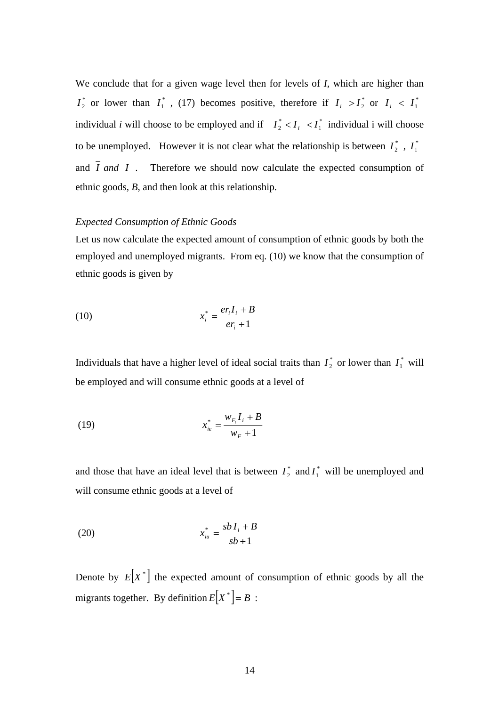We conclude that for a given wage level then for levels of *I*, which are higher than  $I_1^*$  or lower than  $I_1^*$ , (17) becomes positive, therefore if  $I_i > I_2^*$  or  $I_i < I_1^*$ individual *i* will choose to be employed and if  $I_2^* < I_i < I_1^*$  $I_2^* < I_i < I_1^*$  individual i will choose to be unemployed. However it is not clear what the relationship is between  $I_2^*$ ,  $I_1^*$ and  $\overline{I}$  *and*  $\overline{I}$  . Therefore we should now calculate the expected consumption of ethnic goods, *B*, and then look at this relationship.

### *Expected Consumption of Ethnic Goods*

Let us now calculate the expected amount of consumption of ethnic goods by both the employed and unemployed migrants. From eq. (10) we know that the consumption of ethnic goods is given by

$$
(10) \t\t\t x_i^* = \frac{er_i I_i + B}{er_i + 1}
$$

Individuals that have a higher level of ideal social traits than  $I_2^*$  or lower than  $I_1^*$  will be employed and will consume ethnic goods at a level of

(19) 
$$
x_{ie}^{*} = \frac{w_{F_i} I_i + B}{w_F + 1}
$$

and those that have an ideal level that is between  $I_2^*$  and  $I_1^*$  will be unemployed and will consume ethnic goods at a level of

(20) 
$$
x_{iu}^* = \frac{sbI_i + B}{sb + 1}
$$

Denote by  $E[X^*]$  the expected amount of consumption of ethnic goods by all the migrants together. By definition  $E[X^*] = B$ :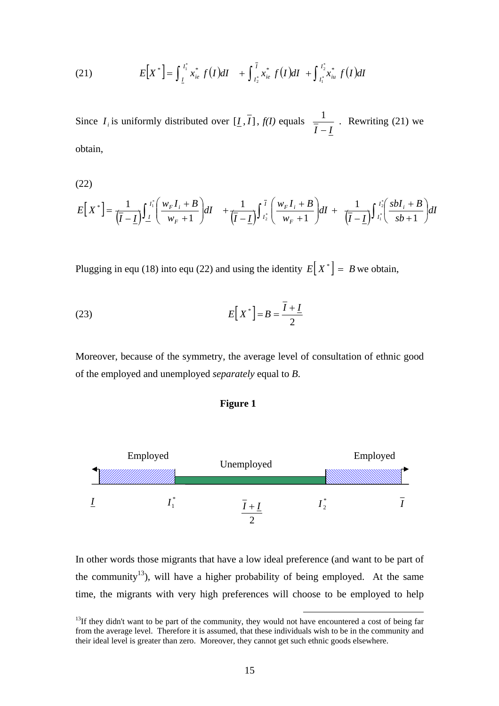(21) 
$$
E[X^*] = \int_{I}^{I_1^*} x_{ie}^* f(I) dI + \int_{I_2^*}^{I} x_{ie}^* f(I) dI + \int_{I_1^*}^{I_2^*} x_{iu}^* f(I) dI
$$

Since  $I_i$  is uniformly distributed over  $[I, I]$ ,  $f(I)$  equals *I* − *I*  $\frac{1}{1}$ . Rewriting (21) we obtain,

(22)

$$
E[X^*] = \frac{1}{(\overline{I}-\underline{I})}\int_{\underline{I}}^{I_1^*} \left(\frac{w_F I_i + B}{w_F + 1}\right) dI + \frac{1}{(\overline{I}-\underline{I})}\int_{I_2^*}^{\overline{I}} \left(\frac{w_F I_i + B}{w_F + 1}\right) dI + \frac{1}{(\overline{I}-\underline{I})}\int_{I_1^*}^{I_2^*} \left(\frac{s b I_i + B}{s b + 1}\right) dI
$$

Plugging in equ (18) into equ (22) and using the identity  $E[X^*] = B$  we obtain,

$$
E[X^*] = B = \frac{\overline{I} + \underline{I}}{2}
$$

Moreover, because of the symmetry, the average level of consultation of ethnic good of the employed and unemployed *separately* equal to *B*.

# **Figure 1**



In other words those migrants that have a low ideal preference (and want to be part of the community<sup>13</sup>), will have a higher probability of being employed. At the same time, the migrants with very high preferences will choose to be employed to help

 $13$ If they didn't want to be part of the community, they would not have encountered a cost of being far from the average level. Therefore it is assumed, that these individuals wish to be in the community and their ideal level is greater than zero. Moreover, they cannot get such ethnic goods elsewhere.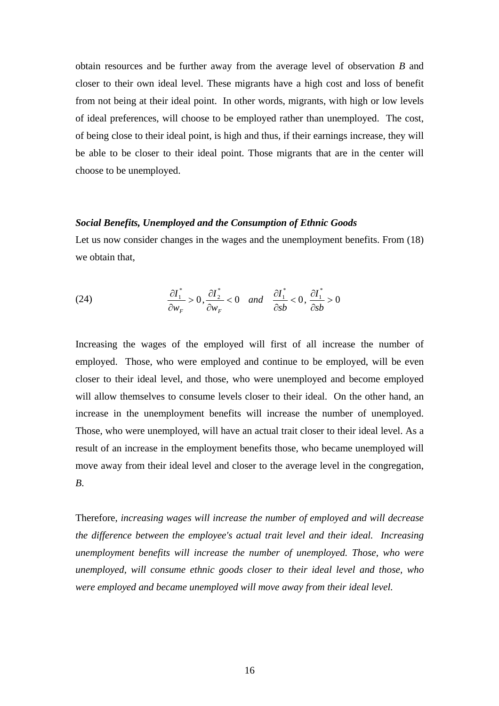obtain resources and be further away from the average level of observation *B* and closer to their own ideal level. These migrants have a high cost and loss of benefit from not being at their ideal point. In other words, migrants, with high or low levels of ideal preferences, will choose to be employed rather than unemployed. The cost, of being close to their ideal point, is high and thus, if their earnings increase, they will be able to be closer to their ideal point. Those migrants that are in the center will choose to be unemployed.

### *Social Benefits, Unemployed and the Consumption of Ethnic Goods*

Let us now consider changes in the wages and the unemployment benefits. From  $(18)$ we obtain that,

(24) 
$$
\frac{\partial I_1^*}{\partial w_F} > 0, \frac{\partial I_2^*}{\partial w_F} < 0 \quad and \quad \frac{\partial I_1^*}{\partial sb} < 0, \frac{\partial I_1^*}{\partial sb} > 0
$$

Increasing the wages of the employed will first of all increase the number of employed. Those, who were employed and continue to be employed, will be even closer to their ideal level, and those, who were unemployed and become employed will allow themselves to consume levels closer to their ideal. On the other hand, an increase in the unemployment benefits will increase the number of unemployed. Those, who were unemployed, will have an actual trait closer to their ideal level. As a result of an increase in the employment benefits those, who became unemployed will move away from their ideal level and closer to the average level in the congregation, *B*.

Therefore, *increasing wages will increase the number of employed and will decrease the difference between the employee's actual trait level and their ideal. Increasing unemployment benefits will increase the number of unemployed. Those, who were unemployed, will consume ethnic goods closer to their ideal level and those, who were employed and became unemployed will move away from their ideal level.*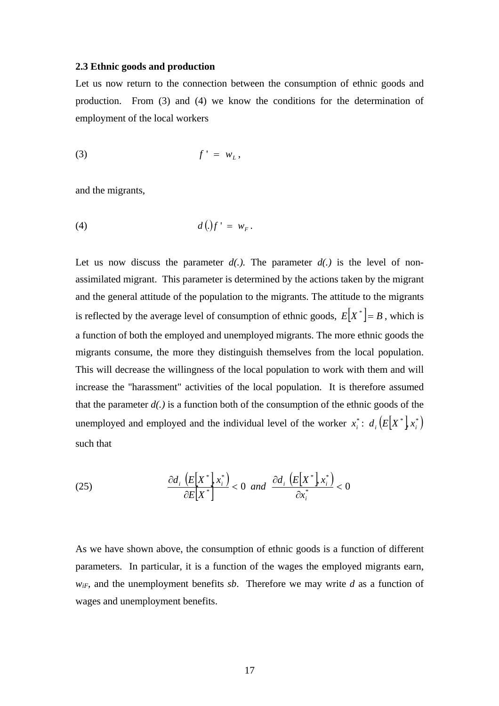### **2.3 Ethnic goods and production**

Let us now return to the connection between the consumption of ethnic goods and production. From (3) and (4) we know the conditions for the determination of employment of the local workers

$$
(3) \t\t f' = w_L,
$$

and the migrants,

$$
(4) \t d(.)f' = w_F.
$$

Let us now discuss the parameter  $d(.)$ . The parameter  $d(.)$  is the level of nonassimilated migrant. This parameter is determined by the actions taken by the migrant and the general attitude of the population to the migrants. The attitude to the migrants is reflected by the average level of consumption of ethnic goods,  $E[X^*] = B$ , which is a function of both the employed and unemployed migrants. The more ethnic goods the migrants consume, the more they distinguish themselves from the local population. This will decrease the willingness of the local population to work with them and will increase the "harassment" activities of the local population. It is therefore assumed that the parameter *d(.)* is a function both of the consumption of the ethnic goods of the unemployed and employed and the individual level of the worker  $x_i^*$ :  $d_i(E[X^*]x_i^*)$ such that

(25) 
$$
\frac{\partial d_i \left( E\left[ X^* \right], x_i^* \right)}{\partial E\left[ X^* \right]} < 0 \text{ and } \frac{\partial d_i \left( E\left[ X^* \right], x_i^* \right)}{\partial x_i^*} < 0
$$

As we have shown above, the consumption of ethnic goods is a function of different parameters. In particular, it is a function of the wages the employed migrants earn,  $w_{if}$ , and the unemployment benefits *sb*. Therefore we may write *d* as a function of wages and unemployment benefits.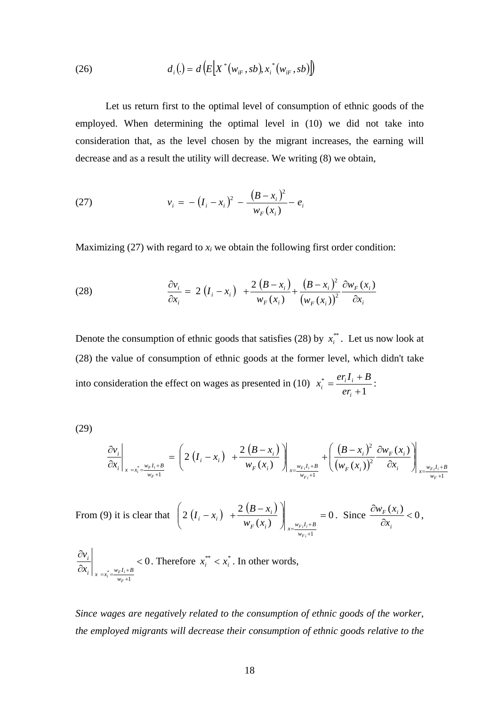(26) 
$$
d_i(.) = d\left(E[X^*(w_{iF}, sb), x_i^*(w_{iF}, sb)\right])
$$

Let us return first to the optimal level of consumption of ethnic goods of the employed. When determining the optimal level in (10) we did not take into consideration that, as the level chosen by the migrant increases, the earning will decrease and as a result the utility will decrease. We writing (8) we obtain,

(27) 
$$
v_i = -\left(I_i - x_i\right)^2 - \frac{\left(B - x_i\right)^2}{w_F(x_i)} - e_i
$$

Maximizing  $(27)$  with regard to  $x_i$  we obtain the following first order condition:

(28) 
$$
\frac{\partial v_i}{\partial x_i} = 2(I_i - x_i) + \frac{2 (B - x_i)}{w_F(x_i)} + \frac{(B - x_i)^2}{(w_F(x_i))^2} \frac{\partial w_F(x_i)}{\partial x_i}
$$

Denote the consumption of ethnic goods that satisfies (28) by  $x_i^{**}$ . Let us now look at (28) the value of consumption of ethnic goods at the former level, which didn't take into consideration the effect on wages as presented in (10)  $x_i^* = \frac{e f_i f_i + 1}{e f_i + 1}$ +  $=\frac{er_i I_i +$ *i*  $\frac{e^{i} - e^{i}i^{i}}{er_{i}}$  $x_i^* = \frac{er_i I_i + B}{I_i}$ 

(29)

$$
\frac{\partial v_i}{\partial x_i}\Big|_{x=x_i^*=\frac{w_F I_i + B}{w_F + 1}} = \left(2\left(I_i - x_i\right) \left.\right. + \frac{2\left(B - x_i\right)}{w_F(x_i)}\right)\Big|_{x=\frac{w_F I_i + B}{w_F + 1}} + \left(\frac{\left(B - x_i\right)^2}{\left(w_F(x_i)\right)^2} \frac{\partial w_F(x_i)}{\partial x_i}\right)\Big|_{x=\frac{w_F I_i + B}{w_F + 1}}
$$

From (9) it is clear that  $\left( 2 \left( I_i - x_i \right) + \frac{2 \left( B - x_i \right)}{n} \right)$  = 0  $(x_i)$  $2(I_i - x_i) + \frac{2}{i}$ 1  $\Big| \qquad \qquad =$ ⎠ ⎞  $\overline{\phantom{a}}$ ⎝  $\left(2(I_i - x_i) + \frac{2(I_i - x_i)}{2(I_i - x_i)}\right)$  $=\frac{w_{Fi}I_i + w_{Fi}I_i + w_{Fi}I_i}{w_{Fi}+w_{Fi}}$  $\int_{K} (x_i) \int_{x=\frac{w_{F_i}I_i+B}{w_{F_i}+1}}$  $v_i - x_i$ ) +  $\frac{2(\mathbf{b} - x_i)}{w_F(x_i)}$  $\left\{ \left| \begin{array}{c} I_i - x_i \end{array} \right| + \frac{2 \left( B - x_i \right)}{2} \right| = 0.$  Since  $\frac{\partial w_F(x_i)}{\partial t} < 0$ ∂ ∂ *i*  $F^{(n)}$ *x*  $\frac{w_F(x_i)}{2}$  < 0,

$$
\left. \frac{\partial v_i}{\partial x_i} \right|_{x = x_i^* = \frac{w_F I_i + B}{w_F + 1}} < 0. \text{ Therefore } x_i^{**} < x_i^* \text{. In other words,}
$$

*Since wages are negatively related to the consumption of ethnic goods of the worker, the employed migrants will decrease their consumption of ethnic goods relative to the*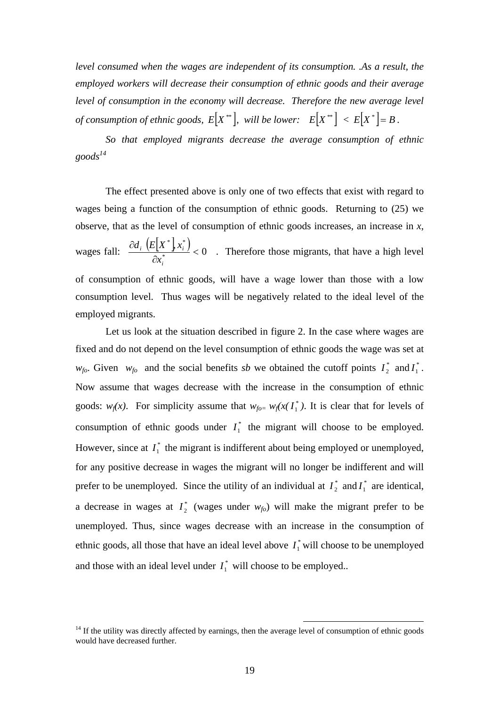*level consumed when the wages are independent of its consumption. .As a result, the employed workers will decrease their consumption of ethnic goods and their average level of consumption in the economy will decrease. Therefore the new average level of consumption of ethnic goods,*  $E[X^{**}]$ , will be lower:  $E[X^{**}] < E[X^{*}] = B$ .

*So that employed migrants decrease the average consumption of ethnic goods<sup>14</sup>*

The effect presented above is only one of two effects that exist with regard to wages being a function of the consumption of ethnic goods. Returning to (25) we observe, that as the level of consumption of ethnic goods increases, an increase in *x*, wages fall:  $\frac{\partial d_i \left( E[X^*] x_i^* \right)}{\partial x_i^*} < 0$  $*$   $*$  $\lt$ ∂ ∂ *i*  $i \left\{ L \right\}$   $\Lambda_i$ *x*  $\frac{d_i (E[X^*] x_i^*]}{2^{n+1}} < 0$ . Therefore those migrants, that have a high level of consumption of ethnic goods, will have a wage lower than those with a low consumption level. Thus wages will be negatively related to the ideal level of the employed migrants.

 Let us look at the situation described in figure 2. In the case where wages are fixed and do not depend on the level consumption of ethnic goods the wage was set at  $w_{fo}$ . Given  $w_{fo}$  and the social benefits *sb* we obtained the cutoff points  $I_2^*$  and  $I_1^*$ . Now assume that wages decrease with the increase in the consumption of ethnic goods:  $w_f(x)$ . For simplicity assume that  $w_{f0} = w_f(x) \cdot I^*$ , It is clear that for levels of consumption of ethnic goods under  $I_1^*$  the migrant will choose to be employed. However, since at  $I_1^*$  the migrant is indifferent about being employed or unemployed, for any positive decrease in wages the migrant will no longer be indifferent and will prefer to be unemployed. Since the utility of an individual at  $I_2^*$  and  $I_1^*$  are identical, a decrease in wages at  $I_2^*$  (wages under  $w_{f0}$ ) will make the migrant prefer to be unemployed. Thus, since wages decrease with an increase in the consumption of ethnic goods, all those that have an ideal level above  $I_1^*$  will choose to be unemployed and those with an ideal level under  $I_1^*$  will choose to be employed..

 $14$  If the utility was directly affected by earnings, then the average level of consumption of ethnic goods would have decreased further.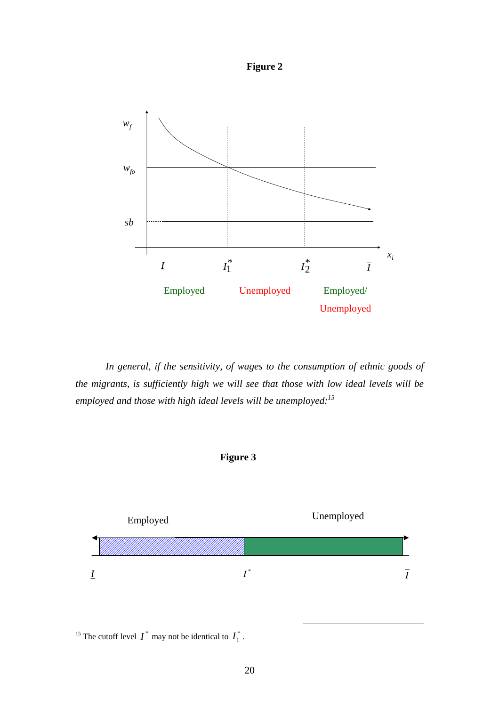



 *In general, if the sensitivity, of wages to the consumption of ethnic goods of the migrants, is sufficiently high we will see that those with low ideal levels will be employed and those with high ideal levels will be unemployed:15*





<sup>15</sup> The cutoff level  $I^*$  may not be identical to  $I_1^*$ .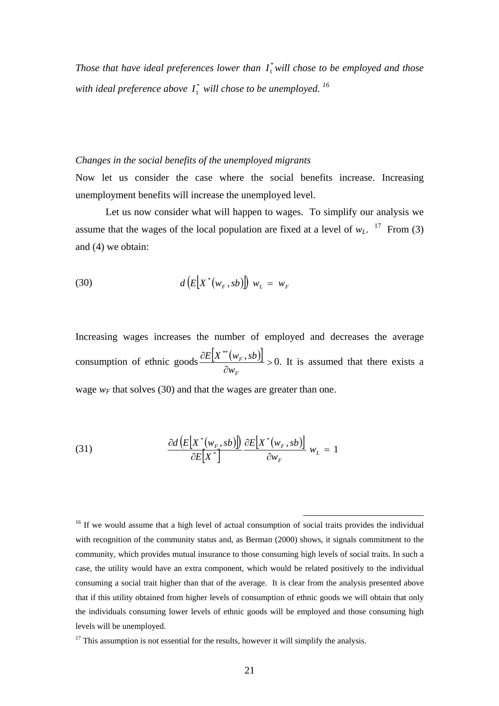Those that have ideal preferences lower than  $I_1^*$  will chose to be employed and those with ideal preference above  $I_1^*$  will chose to be unemployed.  $^{16}$ 

### *Changes in the social benefits of the unemployed migrants*

Now let us consider the case where the social benefits increase. Increasing unemployment benefits will increase the unemployed level.

Let us now consider what will happen to wages. To simplify our analysis we assume that the wages of the local population are fixed at a level of  $w_L$ . <sup>17</sup> From (3) and (4) we obtain:

$$
(30) \t d\left(E\big[X^*(w_F, sb)\big]\right) w_L = w_F
$$

Increasing wages increases the number of employed and decreases the average consumption of ethnic goods  $\frac{\partial E[X^{**}(w_F, sb)]}{\partial F}$ ∂ ∂ *F F w*  $\frac{E[X^{**}(w_F, sb)]}{\sigma} > 0$ . It is assumed that there exists a wage  $w_F$  that solves (30) and that the wages are greater than one.

(31) 
$$
\frac{\partial d\left(E\left[X^*\left(w_F, sb\right)\right]\right)}{\partial E\left[X^*\right]} \frac{\partial E\left[X^*\left(w_F, sb\right)\right]}{\partial w_F} w_L = 1
$$

<sup>16</sup> If we would assume that a high level of actual consumption of social traits provides the individual with recognition of the community status and, as Berman (2000) shows, it signals commitment to the community, which provides mutual insurance to those consuming high levels of social traits. In such a case, the utility would have an extra component, which would be related positively to the individual consuming a social trait higher than that of the average. It is clear from the analysis presented above that if this utility obtained from higher levels of consumption of ethnic goods we will obtain that only the individuals consuming lower levels of ethnic goods will be employed and those consuming high levels will be unemployed.

 $17$  This assumption is not essential for the results, however it will simplify the analysis.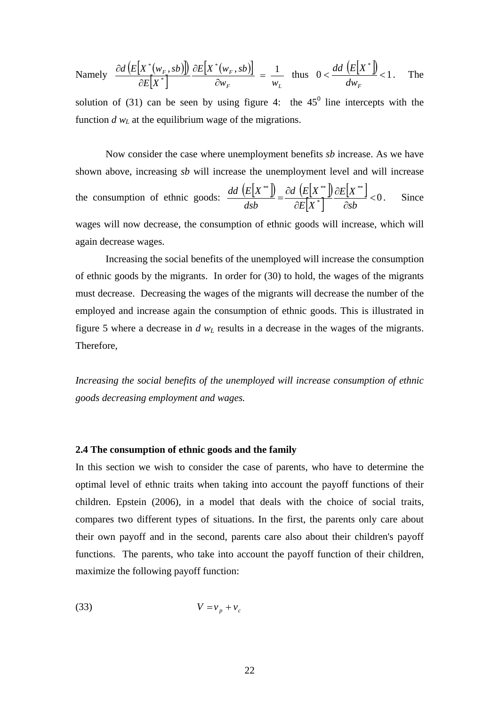$$
\text{Namely} \quad \frac{\partial d\left(E\big[\textit{X}^*(w_F, sb)\big]\right)}{\partial E\big[\textit{X}^*\big]} \frac{\partial E\big[\textit{X}^*(w_F, sb)\big]}{\partial w_F} = \frac{1}{w_L} \quad \text{thus} \quad 0 < \frac{dd\left(E\big[\textit{X}^*\big]\right)}{dw_F} < 1. \quad \text{The}
$$

solution of (31) can be seen by using figure 4: the  $45^{\circ}$  line intercepts with the function  $d w<sub>L</sub>$  at the equilibrium wage of the migrations.

Now consider the case where unemployment benefits *sb* increase. As we have shown above, increasing *sb* will increase the unemployment level and will increase the consumption of ethnic goods:  $\frac{dd (E[X^{**}])}{dsb} = \frac{\partial d (E[X^{**}])}{\partial E[X^*]} \frac{\partial E[X^{**}]}{\partial s b} < 0$ \*  $^*$   $\mathbf{a}$   $\mathbf{b}$   $\mathbf{c}$   $\mathbf{r}$   $\mathbf{v}$  $\lt$ ∂ ∂  $=\frac{\partial d}{\partial E}\left[K^*\right]\frac{dE}{dx}$  $E|X$ *d E X dsb*  $\frac{dd(E[X^*])}{dx} = \frac{\partial d(E[X^*])}{dx} \frac{\partial E[X^*]}{\partial dx} < 0$ . Since wages will now decrease, the consumption of ethnic goods will increase, which will again decrease wages.

Increasing the social benefits of the unemployed will increase the consumption of ethnic goods by the migrants. In order for (30) to hold, the wages of the migrants must decrease. Decreasing the wages of the migrants will decrease the number of the employed and increase again the consumption of ethnic goods. This is illustrated in figure 5 where a decrease in *d wL* results in a decrease in the wages of the migrants. Therefore,

*Increasing the social benefits of the unemployed will increase consumption of ethnic goods decreasing employment and wages.*

#### **2.4 The consumption of ethnic goods and the family**

In this section we wish to consider the case of parents, who have to determine the optimal level of ethnic traits when taking into account the payoff functions of their children. Epstein (2006), in a model that deals with the choice of social traits, compares two different types of situations. In the first, the parents only care about their own payoff and in the second, parents care also about their children's payoff functions. The parents, who take into account the payoff function of their children, maximize the following payoff function:

$$
(33) \t\t V = v_p + v_c
$$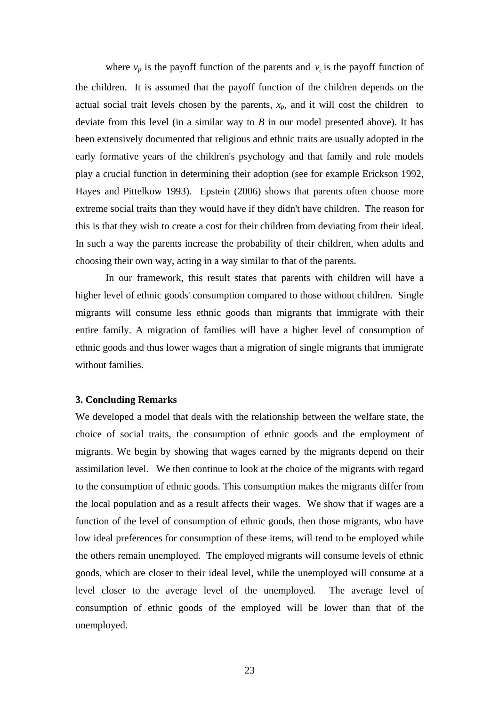where  $v_p$  is the payoff function of the parents and  $v_c$  is the payoff function of the children. It is assumed that the payoff function of the children depends on the actual social trait levels chosen by the parents,  $x_p$ , and it will cost the children to deviate from this level (in a similar way to *B* in our model presented above). It has been extensively documented that religious and ethnic traits are usually adopted in the early formative years of the children's psychology and that family and role models play a crucial function in determining their adoption (see for example Erickson 1992, Hayes and Pittelkow 1993). Epstein (2006) shows that parents often choose more extreme social traits than they would have if they didn't have children. The reason for this is that they wish to create a cost for their children from deviating from their ideal. In such a way the parents increase the probability of their children, when adults and choosing their own way, acting in a way similar to that of the parents.

In our framework, this result states that parents with children will have a higher level of ethnic goods' consumption compared to those without children. Single migrants will consume less ethnic goods than migrants that immigrate with their entire family. A migration of families will have a higher level of consumption of ethnic goods and thus lower wages than a migration of single migrants that immigrate without families.

### **3. Concluding Remarks**

We developed a model that deals with the relationship between the welfare state, the choice of social traits, the consumption of ethnic goods and the employment of migrants. We begin by showing that wages earned by the migrants depend on their assimilation level. We then continue to look at the choice of the migrants with regard to the consumption of ethnic goods. This consumption makes the migrants differ from the local population and as a result affects their wages. We show that if wages are a function of the level of consumption of ethnic goods, then those migrants, who have low ideal preferences for consumption of these items, will tend to be employed while the others remain unemployed. The employed migrants will consume levels of ethnic goods, which are closer to their ideal level, while the unemployed will consume at a level closer to the average level of the unemployed. The average level of consumption of ethnic goods of the employed will be lower than that of the unemployed.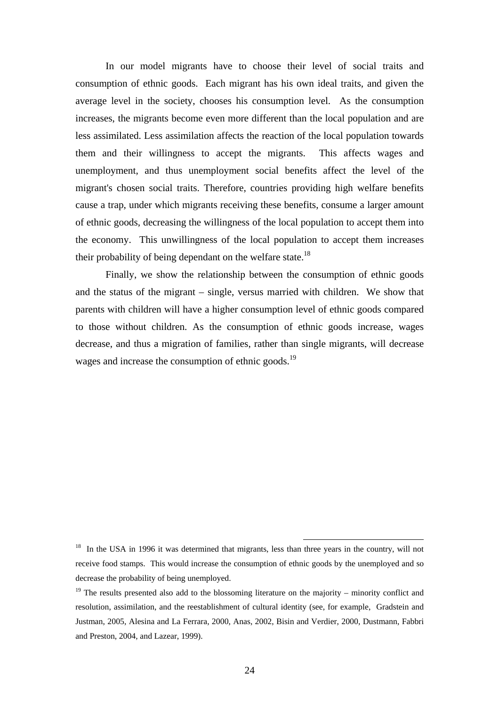In our model migrants have to choose their level of social traits and consumption of ethnic goods. Each migrant has his own ideal traits, and given the average level in the society, chooses his consumption level. As the consumption increases, the migrants become even more different than the local population and are less assimilated. Less assimilation affects the reaction of the local population towards them and their willingness to accept the migrants. This affects wages and unemployment, and thus unemployment social benefits affect the level of the migrant's chosen social traits. Therefore, countries providing high welfare benefits cause a trap, under which migrants receiving these benefits, consume a larger amount of ethnic goods, decreasing the willingness of the local population to accept them into the economy. This unwillingness of the local population to accept them increases their probability of being dependant on the welfare state.<sup>18</sup>

Finally, we show the relationship between the consumption of ethnic goods and the status of the migrant – single, versus married with children. We show that parents with children will have a higher consumption level of ethnic goods compared to those without children. As the consumption of ethnic goods increase, wages decrease, and thus a migration of families, rather than single migrants, will decrease wages and increase the consumption of ethnic goods.<sup>19</sup>

<sup>&</sup>lt;sup>18</sup> In the USA in 1996 it was determined that migrants, less than three years in the country, will not receive food stamps. This would increase the consumption of ethnic goods by the unemployed and so decrease the probability of being unemployed.

<sup>&</sup>lt;sup>19</sup> The results presented also add to the blossoming literature on the majority – minority conflict and resolution, assimilation, and the reestablishment of cultural identity (see, for example, Gradstein and Justman, 2005, Alesina and La Ferrara, 2000, Anas, 2002, Bisin and Verdier, 2000, Dustmann, Fabbri and Preston, 2004, and Lazear, 1999).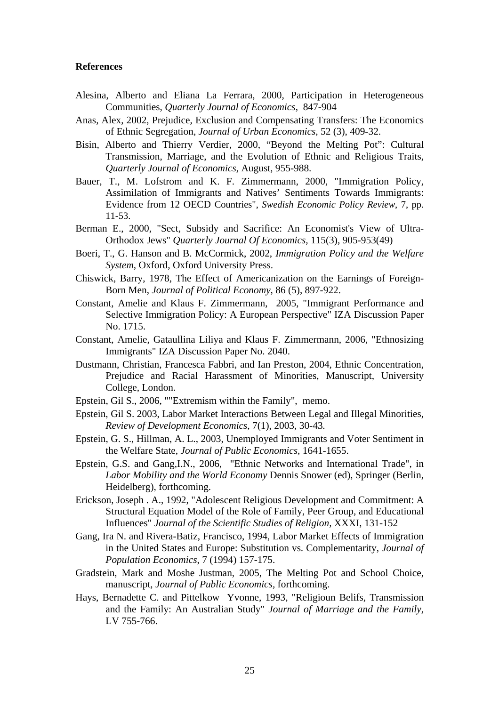#### **References**

- Alesina, Alberto and Eliana La Ferrara, 2000, Participation in Heterogeneous Communities, *Quarterly Journal of Economics*, 847-904
- Anas, Alex, 2002, Prejudice, Exclusion and Compensating Transfers: The Economics of Ethnic Segregation, *Journal of Urban Economics*, 52 (3), 409-32.
- Bisin, Alberto and Thierry Verdier, 2000, "Beyond the Melting Pot": Cultural Transmission, Marriage, and the Evolution of Ethnic and Religious Traits, *Quarterly Journal of Economics*, August, 955-988.
- Bauer, T., M. Lofstrom and K. F. Zimmermann, 2000, "Immigration Policy, Assimilation of Immigrants and Natives' Sentiments Towards Immigrants: Evidence from 12 OECD Countries", *Swedish Economic Policy Review*, 7, pp. 11-53.
- Berman E., 2000, "Sect, Subsidy and Sacrifice: An Economist's View of Ultra-Orthodox Jews" *Quarterly Journal Of Economics,* 115(3), 905-953(49)
- Boeri, T., G. Hanson and B. McCormick, 2002, *Immigration Policy and the Welfare System*, Oxford, Oxford University Press.
- Chiswick, Barry, 1978, The Effect of Americanization on the Earnings of Foreign-Born Men, *Journal of Political Economy*, 86 (5), 897-922.
- Constant, Amelie and Klaus F. Zimmermann, 2005, "Immigrant Performance and Selective Immigration Policy: A European Perspective" IZA Discussion Paper No. 1715.
- Constant, Amelie, Gataullina Liliya and Klaus F. Zimmermann, 2006, "Ethnosizing Immigrants" IZA Discussion Paper No. 2040.
- Dustmann, Christian, Francesca Fabbri, and Ian Preston, 2004, Ethnic Concentration, Prejudice and Racial Harassment of Minorities, Manuscript, University College, London.
- Epstein, Gil S., 2006, ""Extremism within the Family", memo.
- Epstein, Gil S. 2003, Labor Market Interactions Between Legal and Illegal Minorities, *Review of Development Economics*, 7(1), 2003, 30-43*.*
- Epstein, G. S., Hillman, A. L., 2003, Unemployed Immigrants and Voter Sentiment in the Welfare State, *Journal of Public Economics*, 1641-1655.
- Epstein, G.S. and Gang,I.N., 2006, "Ethnic Networks and International Trade", in *Labor Mobility and the World Economy* Dennis Snower (ed), Springer (Berlin, Heidelberg), forthcoming.
- Erickson, Joseph . A., 1992, "Adolescent Religious Development and Commitment: A Structural Equation Model of the Role of Family, Peer Group, and Educational Influences" *Journal of the Scientific Studies of Religion,* XXXI, 131-152
- Gang, Ira N. and Rivera-Batiz, Francisco, 1994, Labor Market Effects of Immigration in the United States and Europe: Substitution vs. Complementarity, *Journal of Population Economics*, 7 (1994) 157-175.
- Gradstein, Mark and Moshe Justman, 2005, The Melting Pot and School Choice, manuscript, *Journal of Public Economics,* forthcoming.
- Hays, Bernadette C. and Pittelkow Yvonne, 1993, "Religioun Belifs, Transmission and the Family: An Australian Study" *Journal of Marriage and the Family*, LV 755-766.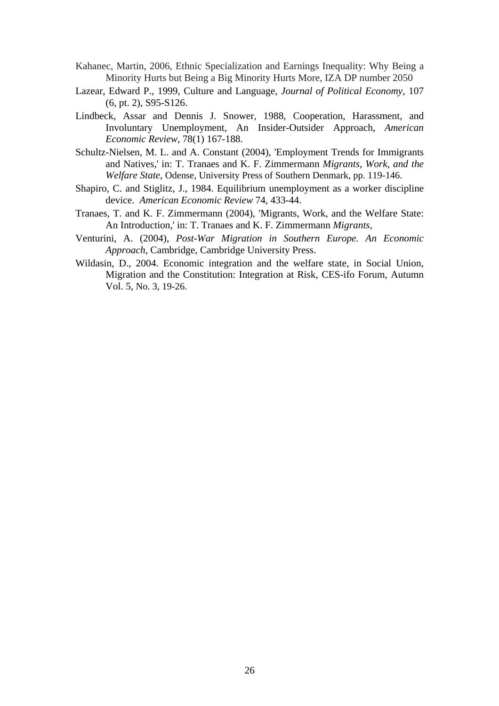- Kahanec, Martin, 2006, Ethnic Specialization and Earnings Inequality: Why Being a Minority Hurts but Being a Big Minority Hurts More, IZA DP number 2050
- Lazear, Edward P., 1999, Culture and Language, *Journal of Political Economy*, 107 (6, pt. 2), S95-S126.
- Lindbeck, Assar and Dennis J. Snower, 1988, Cooperation, Harassment, and Involuntary Unemployment, An Insider-Outsider Approach, *American Economic Review*, 78(1) 167-188.
- Schultz-Nielsen, M. L. and A. Constant (2004), 'Employment Trends for Immigrants and Natives,' in: T. Tranaes and K. F. Zimmermann *Migrants, Work, and the Welfare State*, Odense, University Press of Southern Denmark, pp. 119-146.
- Shapiro, C. and Stiglitz, J., 1984. Equilibrium unemployment as a worker discipline device. *American Economic Review* 74, 433-44.
- Tranaes, T. and K. F. Zimmermann (2004), 'Migrants, Work, and the Welfare State: An Introduction,' in: T. Tranaes and K. F. Zimmermann *Migrants,*
- Venturini, A. (2004), *Post-War Migration in Southern Europe. An Economic Approach*, Cambridge, Cambridge University Press.
- Wildasin, D., 2004. Economic integration and the welfare state, in Social Union, Migration and the Constitution: Integration at Risk, CES-ifo Forum, Autumn Vol. 5, No. 3, 19-26.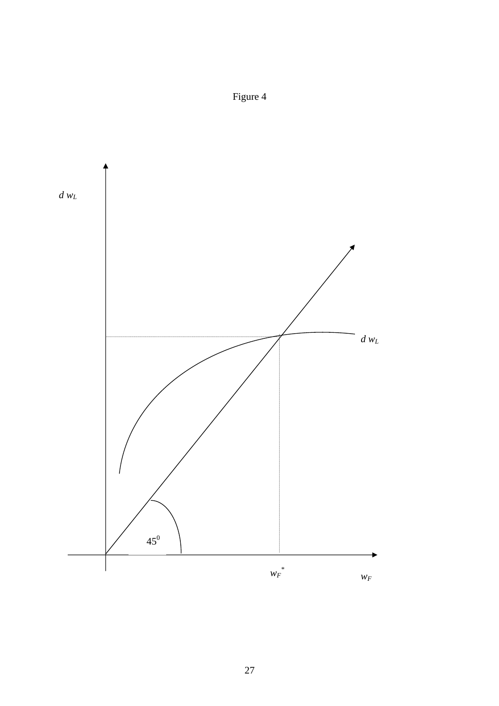

Figure 4